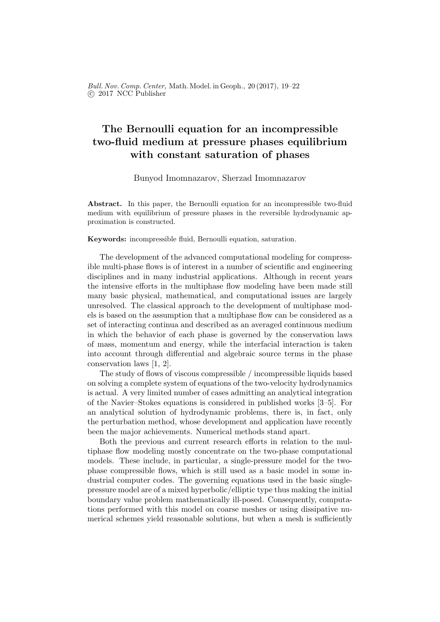Bull. Nov. Comp. Center, Math. Model. in Geoph., 20 (2017), 19–22 c 2017 NCC Publisher

## The Bernoulli equation for an incompressible two-fluid medium at pressure phases equilibrium with constant saturation of phases

Bunyod Imomnazarov, Sherzad Imomnazarov

Abstract. In this paper, the Bernoulli equation for an incompressible two-fluid medium with equilibrium of pressure phases in the reversible hydrodynamic approximation is constructed.

Keywords: incompressible fluid, Bernoulli equation, saturation.

The development of the advanced computational modeling for compressible multi-phase flows is of interest in a number of scientific and engineering disciplines and in many industrial applications. Although in recent years the intensive efforts in the multiphase flow modeling have been made still many basic physical, mathematical, and computational issues are largely unresolved. The classical approach to the development of multiphase models is based on the assumption that a multiphase flow can be considered as a set of interacting continua and described as an averaged continuous medium in which the behavior of each phase is governed by the conservation laws of mass, momentum and energy, while the interfacial interaction is taken into account through differential and algebraic source terms in the phase conservation laws [1, 2].

The study of flows of viscous compressible / incompressible liquids based on solving a complete system of equations of the two-velocity hydrodynamics is actual. A very limited number of cases admitting an analytical integration of the Navier–Stokes equations is considered in published works [3–5]. For an analytical solution of hydrodynamic problems, there is, in fact, only the perturbation method, whose development and application have recently been the major achievements. Numerical methods stand apart.

Both the previous and current research efforts in relation to the multiphase flow modeling mostly concentrate on the two-phase computational models. These include, in particular, a single-pressure model for the twophase compressible flows, which is still used as a basic model in some industrial computer codes. The governing equations used in the basic singlepressure model are of a mixed hyperbolic/elliptic type thus making the initial boundary value problem mathematically ill-posed. Consequently, computations performed with this model on coarse meshes or using dissipative numerical schemes yield reasonable solutions, but when a mesh is sufficiently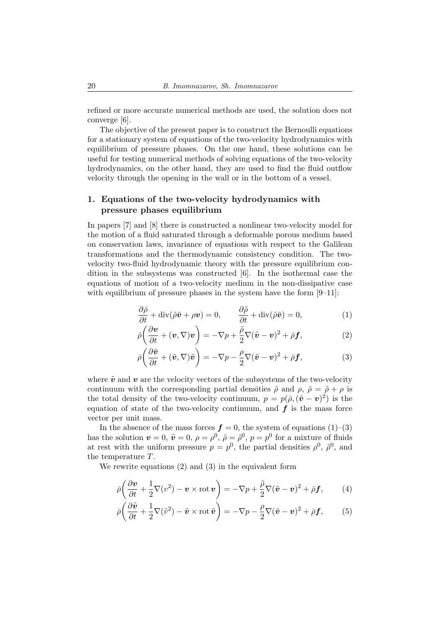refined or more accurate numerical methods are used, the solution does not converge [6].

The objective of the present paper is to construct the Bernoulli equations for a stationary system of equations of the two-velocity hydrodynamics with equilibrium of pressure phases. On the one hand, these solutions can be useful for testing numerical methods of solving equations of the two-velocity hydrodynamics, on the other hand, they are used to find the fluid outflow velocity through the opening in the wall or in the bottom of a vessel.

## 1. Equations of the two-velocity hydrodynamics with pressure phases equilibrium

In papers [7] and [8] there is constructed a nonlinear two-velocity model for the motion of a fluid saturated through a deformable porous medium based on conservation laws, invariance of equations with respect to the Galilean transformations and the thermodynamic consistency condition. The twovelocity two-fluid hydrodynamic theory with the pressure equilibrium condition in the subsystems was constructed [6]. In the isothermal case the equations of motion of a two-velocity medium in the non-dissipative case with equilibrium of pressure phases in the system have the form  $[9-11]$ :

$$
\frac{\partial \bar{\rho}}{\partial t} + \text{div}(\tilde{\rho}\tilde{\mathbf{v}} + \rho \mathbf{v}) = 0, \qquad \frac{\partial \tilde{\rho}}{\partial t} + \text{div}(\tilde{\rho}\tilde{\mathbf{v}}) = 0,
$$
 (1)

$$
\bar{\rho}\left(\frac{\partial \boldsymbol{v}}{\partial t} + (\boldsymbol{v}, \nabla)\boldsymbol{v}\right) = -\nabla p + \frac{\tilde{\rho}}{2}\nabla(\tilde{\boldsymbol{v}} - \boldsymbol{v})^2 + \bar{\rho}\boldsymbol{f},\tag{2}
$$

$$
\bar{\rho}\left(\frac{\partial \tilde{\boldsymbol{v}}}{\partial t} + (\tilde{\boldsymbol{v}}, \nabla)\tilde{\boldsymbol{v}}\right) = -\nabla p - \frac{\rho}{2}\nabla(\tilde{\boldsymbol{v}} - \boldsymbol{v})^2 + \bar{\rho}\boldsymbol{f},\tag{3}
$$

where  $\tilde{v}$  and  $v$  are the velocity vectors of the subsystems of the two-velocity continuum with the corresponding partial densities  $\tilde{\rho}$  and  $\rho$ ,  $\bar{\rho} = \tilde{\rho} + \rho$  is the total density of the two-velocity continuum,  $p = p(\bar{\rho}, (\tilde{\boldsymbol{v}} - \boldsymbol{v})^2)$  is the equation of state of the two-velocity continuum, and  $f$  is the mass force vector per unit mass.

In the absence of the mass forces  $f = 0$ , the system of equations  $(1)$ – $(3)$ has the solution  $v = 0$ ,  $\tilde{v} = 0$ ,  $\rho = \rho^0$ ,  $\tilde{\rho} = \tilde{\rho}^0$ ,  $p = p^0$  for a mixture of fluids at rest with the uniform pressure  $p = p^0$ , the partial densities  $\rho^0$ ,  $\tilde{\rho}^0$ , and the temperature T.

We rewrite equations (2) and (3) in the equivalent form

$$
\bar{\rho}\left(\frac{\partial \mathbf{v}}{\partial t} + \frac{1}{2}\nabla(v^2) - \mathbf{v} \times \operatorname{rot} \mathbf{v}\right) = -\nabla p + \frac{\tilde{\rho}}{2}\nabla(\tilde{\mathbf{v}} - \mathbf{v})^2 + \bar{\rho}\mathbf{f},\qquad(4)
$$

$$
\bar{\rho}\left(\frac{\partial \tilde{\boldsymbol{v}}}{\partial t} + \frac{1}{2}\nabla(\tilde{\boldsymbol{v}}^2) - \tilde{\boldsymbol{v}} \times \operatorname{rot} \tilde{\boldsymbol{v}}\right) = -\nabla p - \frac{\rho}{2}\nabla(\tilde{\boldsymbol{v}} - \boldsymbol{v})^2 + \bar{\rho}\boldsymbol{f},\qquad(5)
$$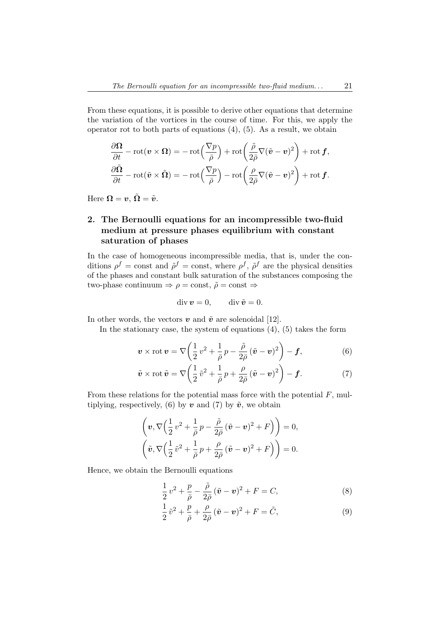From these equations, it is possible to derive other equations that determine the variation of the vortices in the course of time. For this, we apply the operator rot to both parts of equations  $(4)$ ,  $(5)$ . As a result, we obtain

$$
\frac{\partial \Omega}{\partial t} - \text{rot}(\mathbf{v} \times \Omega) = -\text{rot}\left(\frac{\nabla p}{\bar{\rho}}\right) + \text{rot}\left(\frac{\tilde{\rho}}{2\bar{\rho}}\nabla(\tilde{\mathbf{v}} - \mathbf{v})^2\right) + \text{rot}\,\mathbf{f},
$$

$$
\frac{\partial \tilde{\Omega}}{\partial t} - \text{rot}(\tilde{\mathbf{v}} \times \tilde{\Omega}) = -\text{rot}\left(\frac{\nabla p}{\bar{\rho}}\right) - \text{rot}\left(\frac{\rho}{2\bar{\rho}}\nabla(\tilde{\mathbf{v}} - \mathbf{v})^2\right) + \text{rot}\,\mathbf{f}.
$$

Here  $\Omega = v$ ,  $\tilde{\Omega} = \tilde{v}$ .

## 2. The Bernoulli equations for an incompressible two-fluid medium at pressure phases equilibrium with constant saturation of phases

In the case of homogeneous incompressible media, that is, under the conditions  $\rho^f = \text{const}$  and  $\tilde{\rho}^f = \text{const}$ , where  $\rho^f$ ,  $\tilde{\rho}^f$  are the physical densities of the phases and constant bulk saturation of the substances composing the two-phase continuum  $\Rightarrow \rho = \text{const}, \tilde{\rho} = \text{const} \Rightarrow$ 

$$
\operatorname{div} \boldsymbol{v} = 0, \qquad \operatorname{div} \tilde{\boldsymbol{v}} = 0.
$$

In other words, the vectors  $\boldsymbol{v}$  and  $\tilde{\boldsymbol{v}}$  are solenoidal [12].

In the stationary case, the system of equations  $(4)$ ,  $(5)$  takes the form

$$
\boldsymbol{v} \times \text{rot} \,\boldsymbol{v} = \nabla \bigg( \frac{1}{2} v^2 + \frac{1}{\bar{\rho}} p - \frac{\tilde{\rho}}{2\bar{\rho}} (\tilde{\boldsymbol{v}} - \boldsymbol{v})^2 \bigg) - \boldsymbol{f}, \tag{6}
$$

$$
\tilde{\boldsymbol{v}} \times \operatorname{rot} \tilde{\boldsymbol{v}} = \nabla \bigg( \frac{1}{2} \tilde{v}^2 + \frac{1}{\bar{\rho}} p + \frac{\rho}{2\bar{\rho}} (\tilde{\boldsymbol{v}} - \boldsymbol{v})^2 \bigg) - \boldsymbol{f}.
$$
 (7)

From these relations for the potential mass force with the potential  $F$ , multiplying, respectively, (6) by  $\boldsymbol{v}$  and (7) by  $\tilde{\boldsymbol{v}}$ , we obtain

$$
\left(\boldsymbol{v}, \nabla \left(\frac{1}{2}v^2 + \frac{1}{\bar{\rho}}p - \frac{\tilde{\rho}}{2\bar{\rho}}(\tilde{\boldsymbol{v}} - \boldsymbol{v})^2 + F\right)\right) = 0,
$$
  

$$
\left(\tilde{\boldsymbol{v}}, \nabla \left(\frac{1}{2}\tilde{v}^2 + \frac{1}{\bar{\rho}}p + \frac{\rho}{2\bar{\rho}}(\tilde{\boldsymbol{v}} - \boldsymbol{v})^2 + F\right)\right) = 0.
$$

Hence, we obtain the Bernoulli equations

$$
\frac{1}{2}v^2 + \frac{p}{\bar{\rho}} - \frac{\tilde{\rho}}{2\bar{\rho}}(\tilde{\boldsymbol{v}} - \boldsymbol{v})^2 + F = C,\tag{8}
$$

$$
\frac{1}{2}\tilde{v}^2 + \frac{p}{\bar{\rho}} + \frac{\rho}{2\bar{\rho}}(\tilde{\boldsymbol{v}} - \boldsymbol{v})^2 + F = \tilde{C},\tag{9}
$$